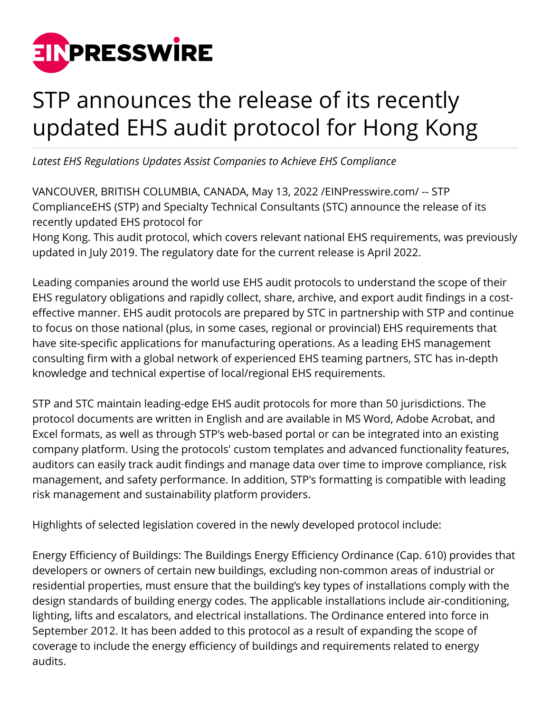

## STP announces the release of its recently updated EHS audit protocol for Hong Kong

*Latest EHS Regulations Updates Assist Companies to Achieve EHS Compliance*

VANCOUVER, BRITISH COLUMBIA, CANADA, May 13, 2022 [/EINPresswire.com](http://www.einpresswire.com)/ -- STP ComplianceEHS (STP) and Specialty Technical Consultants (STC) announce the release of its recently updated EHS protocol for

Hong Kong. This audit protocol, which covers relevant national EHS requirements, was previously updated in July 2019. The regulatory date for the current release is April 2022.

Leading companies around the world use EHS audit protocols to understand the scope of their EHS regulatory obligations and rapidly collect, share, archive, and export audit findings in a costeffective manner. EHS audit protocols are prepared by STC in partnership with STP and continue to focus on those national (plus, in some cases, regional or provincial) EHS requirements that have site-specific applications for manufacturing operations. As a leading EHS management consulting firm with a global network of experienced EHS teaming partners, STC has in-depth knowledge and technical expertise of local/regional EHS requirements.

STP and STC maintain leading-edge EHS audit protocols for more than 50 jurisdictions. The protocol documents are written in English and are available in MS Word, Adobe Acrobat, and Excel formats, as well as through STP's web-based portal or can be integrated into an existing company platform. Using the protocols' custom templates and advanced functionality features, auditors can easily track audit findings and manage data over time to improve compliance, risk management, and safety performance. In addition, STP's formatting is compatible with leading risk management and sustainability platform providers.

Highlights of selected legislation covered in the newly developed protocol include:

Energy Efficiency of Buildings: The Buildings Energy Efficiency Ordinance (Cap. 610) provides that developers or owners of certain new buildings, excluding non-common areas of industrial or residential properties, must ensure that the building's key types of installations comply with the design standards of building energy codes. The applicable installations include air-conditioning, lighting, lifts and escalators, and electrical installations. The Ordinance entered into force in September 2012. It has been added to this protocol as a result of expanding the scope of coverage to include the energy efficiency of buildings and requirements related to energy audits.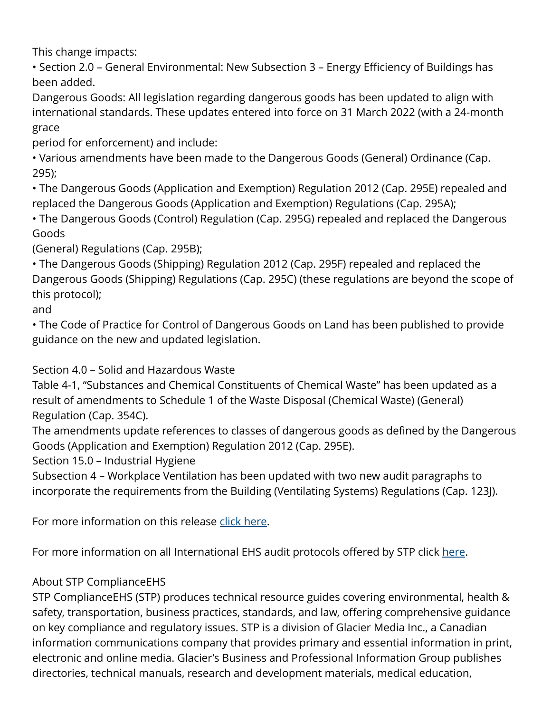This change impacts:

• Section 2.0 – General Environmental: New Subsection 3 – Energy Efficiency of Buildings has been added.

Dangerous Goods: All legislation regarding dangerous goods has been updated to align with international standards. These updates entered into force on 31 March 2022 (with a 24-month grace

period for enforcement) and include:

• Various amendments have been made to the Dangerous Goods (General) Ordinance (Cap. 295);

• The Dangerous Goods (Application and Exemption) Regulation 2012 (Cap. 295E) repealed and replaced the Dangerous Goods (Application and Exemption) Regulations (Cap. 295A);

• The Dangerous Goods (Control) Regulation (Cap. 295G) repealed and replaced the Dangerous Goods

(General) Regulations (Cap. 295B);

• The Dangerous Goods (Shipping) Regulation 2012 (Cap. 295F) repealed and replaced the Dangerous Goods (Shipping) Regulations (Cap. 295C) (these regulations are beyond the scope of this protocol);

and

• The Code of Practice for Control of Dangerous Goods on Land has been published to provide guidance on the new and updated legislation.

Section 4.0 – Solid and Hazardous Waste

Table 4-1, "Substances and Chemical Constituents of Chemical Waste" has been updated as a result of amendments to Schedule 1 of the Waste Disposal (Chemical Waste) (General) Regulation (Cap. 354C).

The amendments update references to classes of dangerous goods as defined by the Dangerous Goods (Application and Exemption) Regulation 2012 (Cap. 295E).

Section 15.0 – Industrial Hygiene

Subsection 4 – Workplace Ventilation has been updated with two new audit paragraphs to incorporate the requirements from the Building (Ventilating Systems) Regulations (Cap. 123J).

For more information on this release [click here.](https://stphub.stpehs.com/updates/#recent-updates)

For more information on all International EHS audit protocols offered by STP click [here](https://www.ehscompliance.solutions/product-category/global/).

## About STP ComplianceEHS

STP ComplianceEHS (STP) produces technical resource guides covering environmental, health & safety, transportation, business practices, standards, and law, offering comprehensive guidance on key compliance and regulatory issues. STP is a division of Glacier Media Inc., a Canadian information communications company that provides primary and essential information in print, electronic and online media. Glacier's Business and Professional Information Group publishes directories, technical manuals, research and development materials, medical education,